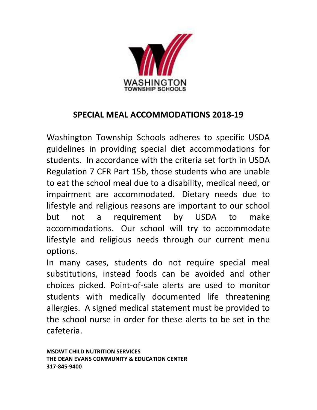

# SPECIAL MEAL ACCOMMODATIONS 2018-19

Washington Township Schools adheres to specific USDA guidelines in providing special diet accommodations for students. In accordance with the criteria set forth in USDA Regulation 7 CFR Part 15b, those students who are unable to eat the school meal due to a disability, medical need, or impairment are accommodated. Dietary needs due to lifestyle and religious reasons are important to our school but not a requirement by USDA to make accommodations. Our school will try to accommodate lifestyle and religious needs through our current menu options.

In many cases, students do not require special meal substitutions, instead foods can be avoided and other choices picked. Point-of-sale alerts are used to monitor students with medically documented life threatening allergies. A signed medical statement must be provided to the school nurse in order for these alerts to be set in the cafeteria.

MSDWT CHILD NUTRITION SERVICES THE DEAN EVANS COMMUNITY & EDUCATION CENTER 317-845-9400